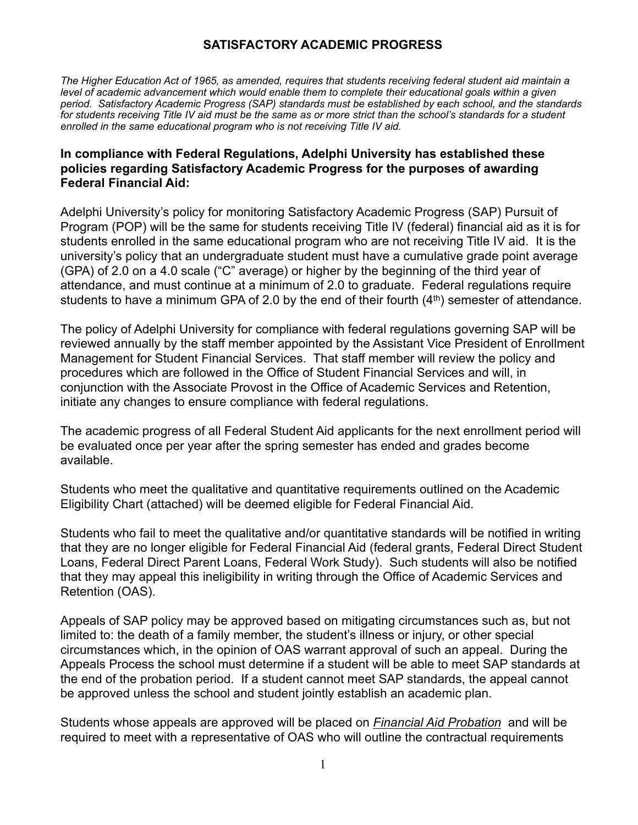# **SATISFACTORY ACADEMIC PROGRESS**

*The Higher Education Act of 1965, as amended, requires that students receiving federal student aid maintain a level of academic advancement which would enable them to complete their educational goals within a given period. Satisfactory Academic Progress (SAP) standards must be established by each school, and the standards*  for students receiving Title IV aid must be the same as or more strict than the school's standards for a student *enrolled in the same educational program who is not receiving Title IV aid.* 

#### **In compliance with Federal Regulations, Adelphi University has established these policies regarding Satisfactory Academic Progress for the purposes of awarding Federal Financial Aid:**

Adelphi University's policy for monitoring Satisfactory Academic Progress (SAP) Pursuit of Program (POP) will be the same for students receiving Title IV (federal) financial aid as it is for students enrolled in the same educational program who are not receiving Title IV aid. It is the university's policy that an undergraduate student must have a cumulative grade point average (GPA) of 2.0 on a 4.0 scale ("C" average) or higher by the beginning of the third year of attendance, and must continue at a minimum of 2.0 to graduate. Federal regulations require students to have a minimum GPA of 2.0 by the end of their fourth  $(4<sup>th</sup>)$  semester of attendance.

The policy of Adelphi University for compliance with federal regulations governing SAP will be reviewed annually by the staff member appointed by the Assistant Vice President of Enrollment Management for Student Financial Services. That staff member will review the policy and procedures which are followed in the Office of Student Financial Services and will, in conjunction with the Associate Provost in the Office of Academic Services and Retention, initiate any changes to ensure compliance with federal regulations.

The academic progress of all Federal Student Aid applicants for the next enrollment period will be evaluated once per year after the spring semester has ended and grades become available.

Students who meet the qualitative and quantitative requirements outlined on the Academic Eligibility Chart (attached) will be deemed eligible for Federal Financial Aid.

Students who fail to meet the qualitative and/or quantitative standards will be notified in writing that they are no longer eligible for Federal Financial Aid (federal grants, Federal Direct Student Loans, Federal Direct Parent Loans, Federal Work Study). Such students will also be notified that they may appeal this ineligibility in writing through the Office of Academic Services and Retention (OAS).

Appeals of SAP policy may be approved based on mitigating circumstances such as, but not limited to: the death of a family member, the student's illness or injury, or other special circumstances which, in the opinion of OAS warrant approval of such an appeal. During the Appeals Process the school must determine if a student will be able to meet SAP standards at the end of the probation period. If a student cannot meet SAP standards, the appeal cannot be approved unless the school and student jointly establish an academic plan.

Students whose appeals are approved will be placed on *Financial Aid Probation* and will be required to meet with a representative of OAS who will outline the contractual requirements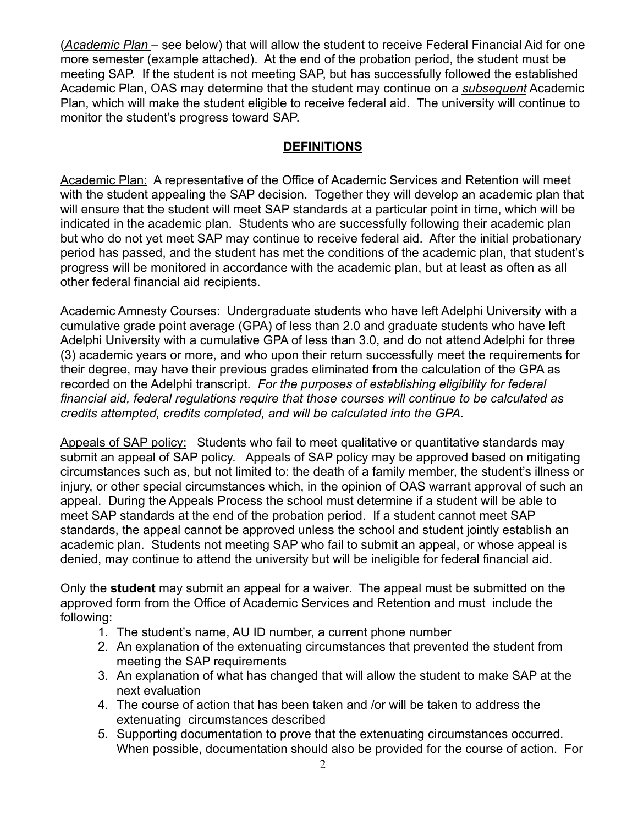(*Academic Plan* – see below) that will allow the student to receive Federal Financial Aid for one more semester (example attached). At the end of the probation period, the student must be meeting SAP. If the student is not meeting SAP, but has successfully followed the established Academic Plan, OAS may determine that the student may continue on a *subsequent* Academic Plan, which will make the student eligible to receive federal aid. The university will continue to monitor the student's progress toward SAP.

# **DEFINITIONS**

Academic Plan: A representative of the Office of Academic Services and Retention will meet with the student appealing the SAP decision. Together they will develop an academic plan that will ensure that the student will meet SAP standards at a particular point in time, which will be indicated in the academic plan. Students who are successfully following their academic plan but who do not yet meet SAP may continue to receive federal aid. After the initial probationary period has passed, and the student has met the conditions of the academic plan, that student's progress will be monitored in accordance with the academic plan, but at least as often as all other federal financial aid recipients.

Academic Amnesty Courses: Undergraduate students who have left Adelphi University with a cumulative grade point average (GPA) of less than 2.0 and graduate students who have left Adelphi University with a cumulative GPA of less than 3.0, and do not attend Adelphi for three (3) academic years or more, and who upon their return successfully meet the requirements for their degree, may have their previous grades eliminated from the calculation of the GPA as recorded on the Adelphi transcript. *For the purposes of establishing eligibility for federal financial aid, federal regulations require that those courses will continue to be calculated as credits attempted, credits completed, and will be calculated into the GPA.* 

Appeals of SAP policy: Students who fail to meet qualitative or quantitative standards may submit an appeal of SAP policy. Appeals of SAP policy may be approved based on mitigating circumstances such as, but not limited to: the death of a family member, the student's illness or injury, or other special circumstances which, in the opinion of OAS warrant approval of such an appeal. During the Appeals Process the school must determine if a student will be able to meet SAP standards at the end of the probation period. If a student cannot meet SAP standards, the appeal cannot be approved unless the school and student jointly establish an academic plan. Students not meeting SAP who fail to submit an appeal, or whose appeal is denied, may continue to attend the university but will be ineligible for federal financial aid.

Only the **student** may submit an appeal for a waiver. The appeal must be submitted on the approved form from the Office of Academic Services and Retention and must include the following:

- 1. The student's name, AU ID number, a current phone number
- 2. An explanation of the extenuating circumstances that prevented the student from meeting the SAP requirements
- 3. An explanation of what has changed that will allow the student to make SAP at the next evaluation
- 4. The course of action that has been taken and /or will be taken to address the extenuating circumstances described
- 5. Supporting documentation to prove that the extenuating circumstances occurred. When possible, documentation should also be provided for the course of action. For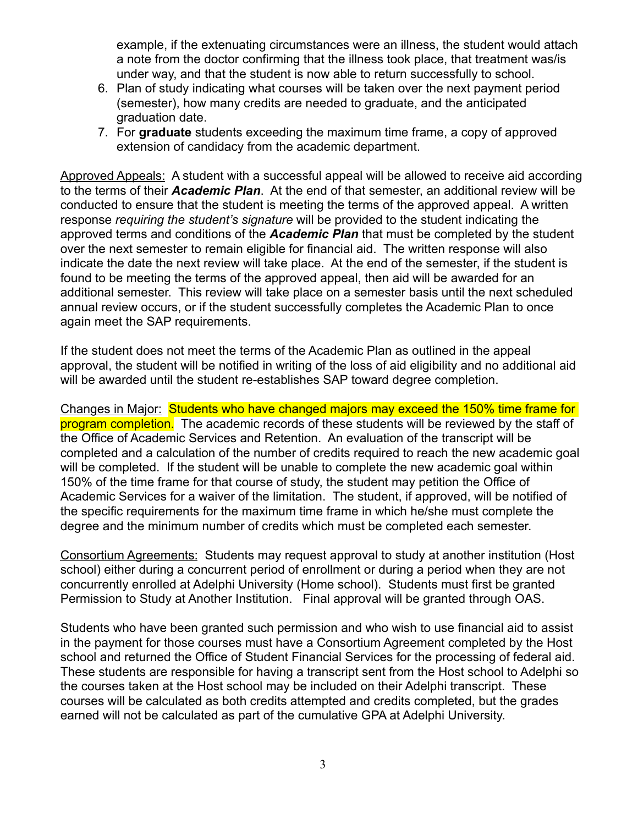example, if the extenuating circumstances were an illness, the student would attach a note from the doctor confirming that the illness took place, that treatment was/is under way, and that the student is now able to return successfully to school.

- 6. Plan of study indicating what courses will be taken over the next payment period (semester), how many credits are needed to graduate, and the anticipated graduation date.
- 7. For **graduate** students exceeding the maximum time frame, a copy of approved extension of candidacy from the academic department.

Approved Appeals: A student with a successful appeal will be allowed to receive aid according to the terms of their *Academic Plan*. At the end of that semester, an additional review will be conducted to ensure that the student is meeting the terms of the approved appeal. A written response *requiring the student's signature* will be provided to the student indicating the approved terms and conditions of the *Academic Plan* that must be completed by the student over the next semester to remain eligible for financial aid. The written response will also indicate the date the next review will take place. At the end of the semester, if the student is found to be meeting the terms of the approved appeal, then aid will be awarded for an additional semester. This review will take place on a semester basis until the next scheduled annual review occurs, or if the student successfully completes the Academic Plan to once again meet the SAP requirements.

If the student does not meet the terms of the Academic Plan as outlined in the appeal approval, the student will be notified in writing of the loss of aid eligibility and no additional aid will be awarded until the student re-establishes SAP toward degree completion.

Changes in Major: Students who have changed majors may exceed the 150% time frame for program completion. The academic records of these students will be reviewed by the staff of the Office of Academic Services and Retention. An evaluation of the transcript will be completed and a calculation of the number of credits required to reach the new academic goal will be completed. If the student will be unable to complete the new academic goal within 150% of the time frame for that course of study, the student may petition the Office of Academic Services for a waiver of the limitation. The student, if approved, will be notified of the specific requirements for the maximum time frame in which he/she must complete the degree and the minimum number of credits which must be completed each semester.

Consortium Agreements: Students may request approval to study at another institution (Host school) either during a concurrent period of enrollment or during a period when they are not concurrently enrolled at Adelphi University (Home school). Students must first be granted Permission to Study at Another Institution. Final approval will be granted through OAS.

Students who have been granted such permission and who wish to use financial aid to assist in the payment for those courses must have a Consortium Agreement completed by the Host school and returned the Office of Student Financial Services for the processing of federal aid. These students are responsible for having a transcript sent from the Host school to Adelphi so the courses taken at the Host school may be included on their Adelphi transcript. These courses will be calculated as both credits attempted and credits completed, but the grades earned will not be calculated as part of the cumulative GPA at Adelphi University.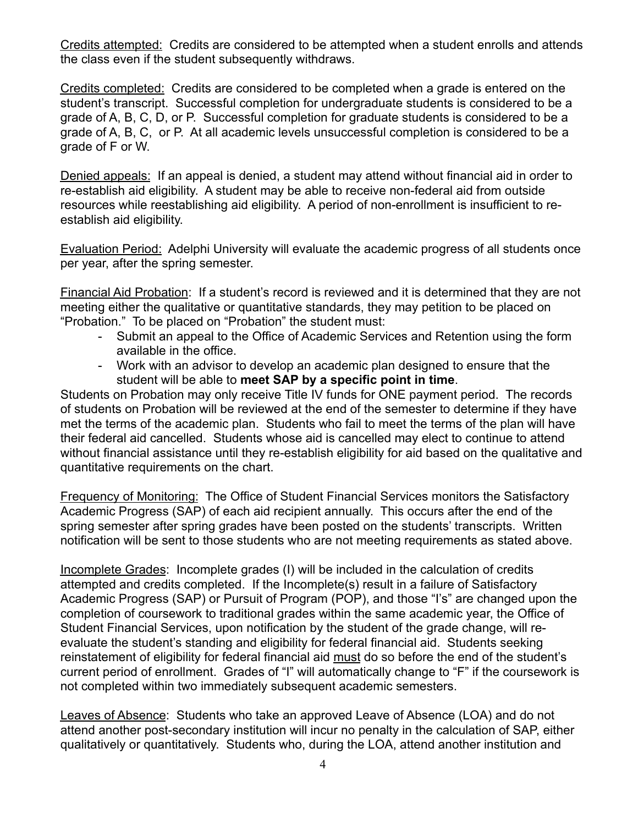Credits attempted: Credits are considered to be attempted when a student enrolls and attends the class even if the student subsequently withdraws.

Credits completed: Credits are considered to be completed when a grade is entered on the student's transcript. Successful completion for undergraduate students is considered to be a grade of A, B, C, D, or P. Successful completion for graduate students is considered to be a grade of A, B, C, or P. At all academic levels unsuccessful completion is considered to be a grade of F or W.

Denied appeals: If an appeal is denied, a student may attend without financial aid in order to re-establish aid eligibility. A student may be able to receive non-federal aid from outside resources while reestablishing aid eligibility. A period of non-enrollment is insufficient to reestablish aid eligibility.

Evaluation Period: Adelphi University will evaluate the academic progress of all students once per year, after the spring semester.

Financial Aid Probation: If a student's record is reviewed and it is determined that they are not meeting either the qualitative or quantitative standards, they may petition to be placed on "Probation." To be placed on "Probation" the student must:

- Submit an appeal to the Office of Academic Services and Retention using the form available in the office.
- Work with an advisor to develop an academic plan designed to ensure that the student will be able to **meet SAP by a specific point in time**.

Students on Probation may only receive Title IV funds for ONE payment period. The records of students on Probation will be reviewed at the end of the semester to determine if they have met the terms of the academic plan. Students who fail to meet the terms of the plan will have their federal aid cancelled. Students whose aid is cancelled may elect to continue to attend without financial assistance until they re-establish eligibility for aid based on the qualitative and quantitative requirements on the chart.

Frequency of Monitoring: The Office of Student Financial Services monitors the Satisfactory Academic Progress (SAP) of each aid recipient annually. This occurs after the end of the spring semester after spring grades have been posted on the students' transcripts. Written notification will be sent to those students who are not meeting requirements as stated above.

Incomplete Grades: Incomplete grades (I) will be included in the calculation of credits attempted and credits completed. If the Incomplete(s) result in a failure of Satisfactory Academic Progress (SAP) or Pursuit of Program (POP), and those "I's" are changed upon the completion of coursework to traditional grades within the same academic year, the Office of Student Financial Services, upon notification by the student of the grade change, will reevaluate the student's standing and eligibility for federal financial aid. Students seeking reinstatement of eligibility for federal financial aid must do so before the end of the student's current period of enrollment. Grades of "I" will automatically change to "F" if the coursework is not completed within two immediately subsequent academic semesters.

Leaves of Absence: Students who take an approved Leave of Absence (LOA) and do not attend another post-secondary institution will incur no penalty in the calculation of SAP, either qualitatively or quantitatively. Students who, during the LOA, attend another institution and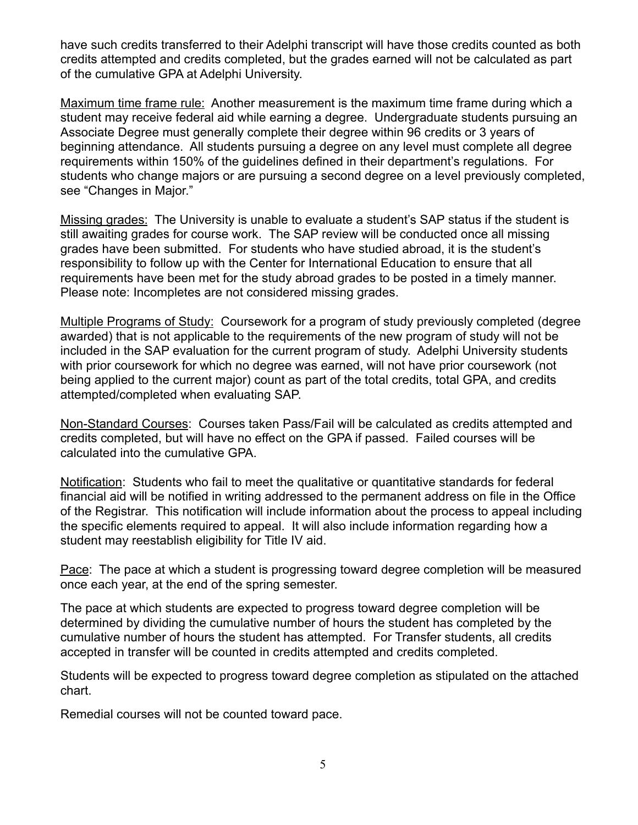have such credits transferred to their Adelphi transcript will have those credits counted as both credits attempted and credits completed, but the grades earned will not be calculated as part of the cumulative GPA at Adelphi University.

Maximum time frame rule: Another measurement is the maximum time frame during which a student may receive federal aid while earning a degree. Undergraduate students pursuing an Associate Degree must generally complete their degree within 96 credits or 3 years of beginning attendance. All students pursuing a degree on any level must complete all degree requirements within 150% of the guidelines defined in their department's regulations. For students who change majors or are pursuing a second degree on a level previously completed, see "Changes in Major."

Missing grades: The University is unable to evaluate a student's SAP status if the student is still awaiting grades for course work. The SAP review will be conducted once all missing grades have been submitted. For students who have studied abroad, it is the student's responsibility to follow up with the Center for International Education to ensure that all requirements have been met for the study abroad grades to be posted in a timely manner. Please note: Incompletes are not considered missing grades.

Multiple Programs of Study: Coursework for a program of study previously completed (degree awarded) that is not applicable to the requirements of the new program of study will not be included in the SAP evaluation for the current program of study. Adelphi University students with prior coursework for which no degree was earned, will not have prior coursework (not being applied to the current major) count as part of the total credits, total GPA, and credits attempted/completed when evaluating SAP.

Non-Standard Courses: Courses taken Pass/Fail will be calculated as credits attempted and credits completed, but will have no effect on the GPA if passed. Failed courses will be calculated into the cumulative GPA.

Notification: Students who fail to meet the qualitative or quantitative standards for federal financial aid will be notified in writing addressed to the permanent address on file in the Office of the Registrar. This notification will include information about the process to appeal including the specific elements required to appeal. It will also include information regarding how a student may reestablish eligibility for Title IV aid.

Pace: The pace at which a student is progressing toward degree completion will be measured once each year, at the end of the spring semester.

The pace at which students are expected to progress toward degree completion will be determined by dividing the cumulative number of hours the student has completed by the cumulative number of hours the student has attempted. For Transfer students, all credits accepted in transfer will be counted in credits attempted and credits completed.

Students will be expected to progress toward degree completion as stipulated on the attached chart.

Remedial courses will not be counted toward pace.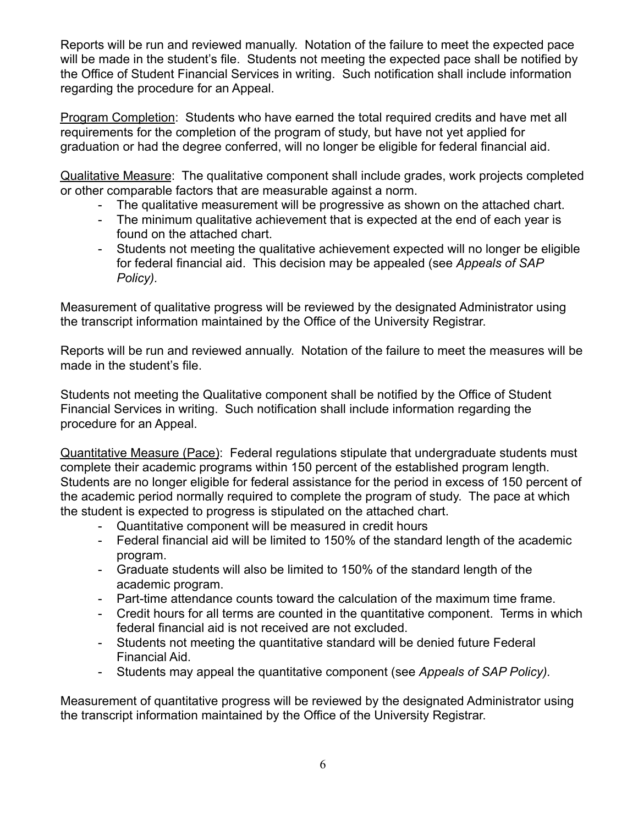Reports will be run and reviewed manually. Notation of the failure to meet the expected pace will be made in the student's file. Students not meeting the expected pace shall be notified by the Office of Student Financial Services in writing. Such notification shall include information regarding the procedure for an Appeal.

Program Completion: Students who have earned the total required credits and have met all requirements for the completion of the program of study, but have not yet applied for graduation or had the degree conferred, will no longer be eligible for federal financial aid.

Qualitative Measure: The qualitative component shall include grades, work projects completed or other comparable factors that are measurable against a norm.

- The qualitative measurement will be progressive as shown on the attached chart.
- The minimum qualitative achievement that is expected at the end of each year is found on the attached chart.
- Students not meeting the qualitative achievement expected will no longer be eligible for federal financial aid. This decision may be appealed (see *Appeals of SAP Policy).*

Measurement of qualitative progress will be reviewed by the designated Administrator using the transcript information maintained by the Office of the University Registrar.

Reports will be run and reviewed annually. Notation of the failure to meet the measures will be made in the student's file.

Students not meeting the Qualitative component shall be notified by the Office of Student Financial Services in writing. Such notification shall include information regarding the procedure for an Appeal.

Quantitative Measure (Pace): Federal regulations stipulate that undergraduate students must complete their academic programs within 150 percent of the established program length. Students are no longer eligible for federal assistance for the period in excess of 150 percent of the academic period normally required to complete the program of study. The pace at which the student is expected to progress is stipulated on the attached chart.

- Quantitative component will be measured in credit hours
- Federal financial aid will be limited to 150% of the standard length of the academic program.
- Graduate students will also be limited to 150% of the standard length of the academic program.
- Part-time attendance counts toward the calculation of the maximum time frame.
- Credit hours for all terms are counted in the quantitative component. Terms in which federal financial aid is not received are not excluded.
- Students not meeting the quantitative standard will be denied future Federal Financial Aid.
- Students may appeal the quantitative component (see *Appeals of SAP Policy).*

Measurement of quantitative progress will be reviewed by the designated Administrator using the transcript information maintained by the Office of the University Registrar.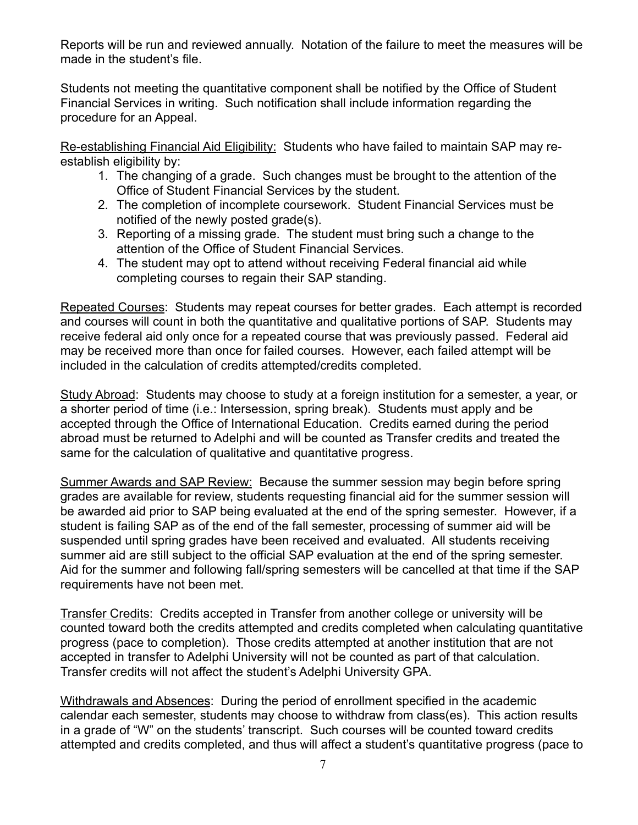Reports will be run and reviewed annually. Notation of the failure to meet the measures will be made in the student's file.

Students not meeting the quantitative component shall be notified by the Office of Student Financial Services in writing. Such notification shall include information regarding the procedure for an Appeal.

Re-establishing Financial Aid Eligibility: Students who have failed to maintain SAP may reestablish eligibility by:

- 1. The changing of a grade. Such changes must be brought to the attention of the Office of Student Financial Services by the student.
- 2. The completion of incomplete coursework. Student Financial Services must be notified of the newly posted grade(s).
- 3. Reporting of a missing grade. The student must bring such a change to the attention of the Office of Student Financial Services.
- 4. The student may opt to attend without receiving Federal financial aid while completing courses to regain their SAP standing.

Repeated Courses: Students may repeat courses for better grades. Each attempt is recorded and courses will count in both the quantitative and qualitative portions of SAP. Students may receive federal aid only once for a repeated course that was previously passed. Federal aid may be received more than once for failed courses. However, each failed attempt will be included in the calculation of credits attempted/credits completed.

Study Abroad: Students may choose to study at a foreign institution for a semester, a year, or a shorter period of time (i.e.: Intersession, spring break). Students must apply and be accepted through the Office of International Education. Credits earned during the period abroad must be returned to Adelphi and will be counted as Transfer credits and treated the same for the calculation of qualitative and quantitative progress.

Summer Awards and SAP Review: Because the summer session may begin before spring grades are available for review, students requesting financial aid for the summer session will be awarded aid prior to SAP being evaluated at the end of the spring semester. However, if a student is failing SAP as of the end of the fall semester, processing of summer aid will be suspended until spring grades have been received and evaluated. All students receiving summer aid are still subject to the official SAP evaluation at the end of the spring semester. Aid for the summer and following fall/spring semesters will be cancelled at that time if the SAP requirements have not been met.

Transfer Credits: Credits accepted in Transfer from another college or university will be counted toward both the credits attempted and credits completed when calculating quantitative progress (pace to completion). Those credits attempted at another institution that are not accepted in transfer to Adelphi University will not be counted as part of that calculation. Transfer credits will not affect the student's Adelphi University GPA.

Withdrawals and Absences: During the period of enrollment specified in the academic calendar each semester, students may choose to withdraw from class(es). This action results in a grade of "W" on the students' transcript. Such courses will be counted toward credits attempted and credits completed, and thus will affect a student's quantitative progress (pace to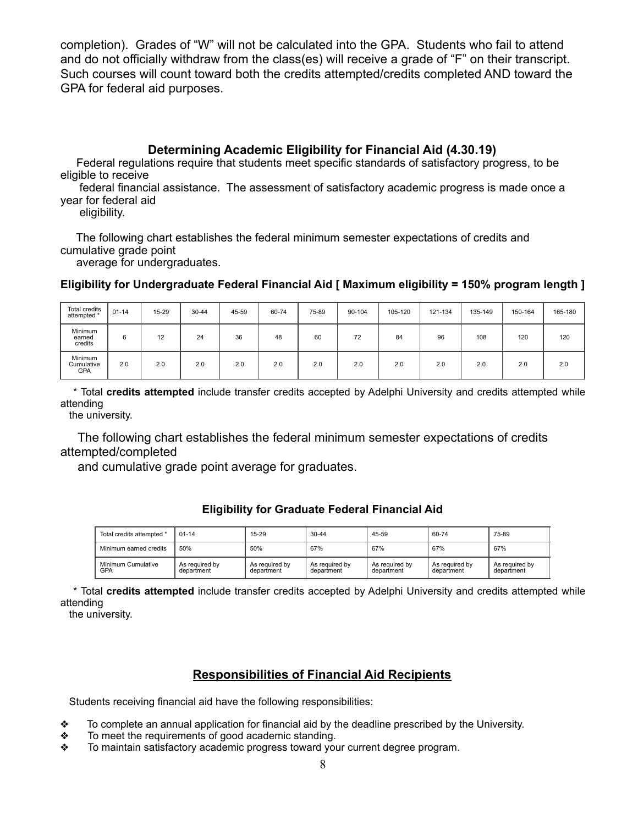completion). Grades of "W" will not be calculated into the GPA. Students who fail to attend and do not officially withdraw from the class(es) will receive a grade of "F" on their transcript. Such courses will count toward both the credits attempted/credits completed AND toward the GPA for federal aid purposes.

### **Determining Academic Eligibility for Financial Aid (4.30.19)**

 Federal regulations require that students meet specific standards of satisfactory progress, to be eligible to receive

 federal financial assistance. The assessment of satisfactory academic progress is made once a year for federal aid

eligibility.

 The following chart establishes the federal minimum semester expectations of credits and cumulative grade point

average for undergraduates.

**Eligibility for Undergraduate Federal Financial Aid [ Maximum eligibility = 150% program length ]**

| <b>Total credits</b><br>attempted * | $01 - 14$ | 15-29 | $30 - 44$ | 45-59 | 60-74 | 75-89 | 90-104 | 105-120 | 121-134 | 135-149 | 150-164 | 165-180 |
|-------------------------------------|-----------|-------|-----------|-------|-------|-------|--------|---------|---------|---------|---------|---------|
| Minimum<br>earned<br>credits        | 6         | 12    | 24        | 36    | 48    | 60    | 72     | 84      | 96      | 108     | 120     | 120     |
| Minimum<br>Cumulative<br><b>GPA</b> | 2.0       | 2.0   | 2.0       | 2.0   | 2.0   | 2.0   | 2.0    | 2.0     | 2.0     | 2.0     | 2.0     | 2.0     |

 \* Total **credits attempted** include transfer credits accepted by Adelphi University and credits attempted while attending

the university.

 The following chart establishes the federal minimum semester expectations of credits attempted/completed

and cumulative grade point average for graduates.

#### **Eligibility for Graduate Federal Financial Aid**

|  | Total credits attempted *        | $01 - 14$                    | $15-29$                      | $30 - 44$                    | 45-59                        | 60-74                        | 75-89                        |  |
|--|----------------------------------|------------------------------|------------------------------|------------------------------|------------------------------|------------------------------|------------------------------|--|
|  | Minimum earned credits           | 50%                          | 50%                          | 67%                          | 67%                          | 67%                          | 67%                          |  |
|  | Minimum Cumulative<br><b>GPA</b> | As required by<br>department | As required by<br>department | As required by<br>department | As required by<br>department | As required by<br>department | As required by<br>department |  |

 \* Total **credits attempted** include transfer credits accepted by Adelphi University and credits attempted while attending

the university.

## **Responsibilities of Financial Aid Recipients**

Students receiving financial aid have the following responsibilities:

- ❖ To complete an annual application for financial aid by the deadline prescribed by the University.
- ❖ To meet the requirements of good academic standing.
- ❖ To maintain satisfactory academic progress toward your current degree program.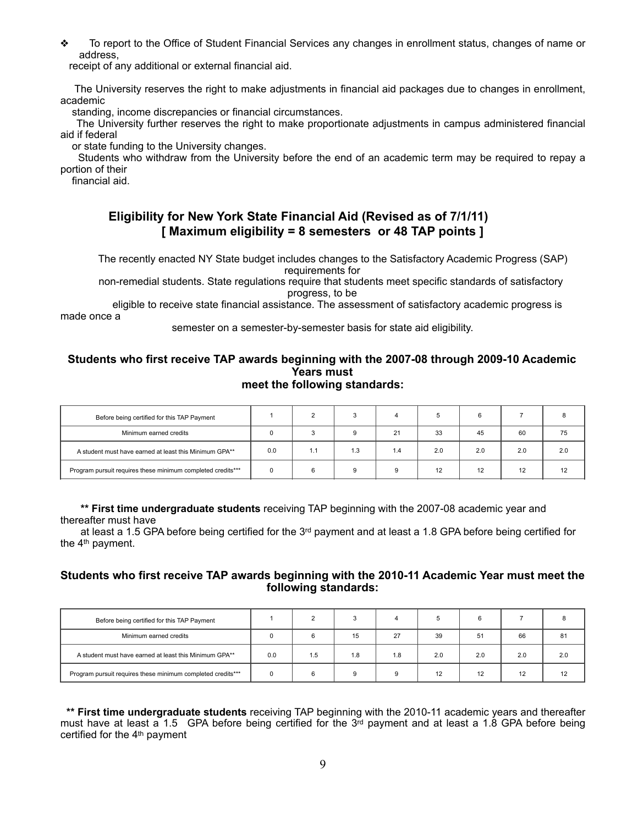❖ To report to the Office of Student Financial Services any changes in enrollment status, changes of name or address,

receipt of any additional or external financial aid.

 The University reserves the right to make adjustments in financial aid packages due to changes in enrollment, academic

standing, income discrepancies or financial circumstances.

 The University further reserves the right to make proportionate adjustments in campus administered financial aid if federal

or state funding to the University changes.

 Students who withdraw from the University before the end of an academic term may be required to repay a portion of their

financial aid.

#### **Eligibility for New York State Financial Aid (Revised as of 7/1/11) [ Maximum eligibility = 8 semesters or 48 TAP points ]**

 The recently enacted NY State budget includes changes to the Satisfactory Academic Progress (SAP) requirements for

 non-remedial students. State regulations require that students meet specific standards of satisfactory progress, to be

 eligible to receive state financial assistance. The assessment of satisfactory academic progress is made once a

semester on a semester-by-semester basis for state aid eligibility.

# **Students who first receive TAP awards beginning with the 2007-08 through 2009-10 Academic Years must**

# **meet the following standards:**

| Before being certified for this TAP Payment                 |     |     |     |     |     |     |     |     |
|-------------------------------------------------------------|-----|-----|-----|-----|-----|-----|-----|-----|
| Minimum earned credits                                      |     |     | g   | 21  | 33  | 45  | 60  | 75  |
| A student must have earned at least this Minimum GPA**      | 0.0 | 1.1 | 1.3 | 4.، | 2.0 | 2.0 | 2.0 | 2.0 |
| Program pursuit requires these minimum completed credits*** |     |     | 9   |     | 12  | 12  | 12  |     |

 **\*\* First time undergraduate students** receiving TAP beginning with the 2007-08 academic year and thereafter must have

 at least a 1.5 GPA before being certified for the 3rd payment and at least a 1.8 GPA before being certified for the 4th payment.

#### **Students who first receive TAP awards beginning with the 2010-11 Academic Year must meet the following standards:**

| Before being certified for this TAP Payment                 |     |     |     |     |     |     |     |     |
|-------------------------------------------------------------|-----|-----|-----|-----|-----|-----|-----|-----|
| Minimum earned credits                                      |     |     | 15  | 27  | 39  | 51  | 66  | 81  |
| A student must have earned at least this Minimum GPA**      | 0.0 | 1.5 | l.8 | 1.8 | 2.0 | 2.0 | 2.0 | 2.0 |
| Program pursuit requires these minimum completed credits*** |     |     |     |     | 12  | 12  | 12  |     |

 **\*\* First time undergraduate students** receiving TAP beginning with the 2010-11 academic years and thereafter must have at least a 1.5 GPA before being certified for the  $3<sup>rd</sup>$  payment and at least a 1.8 GPA before being certified for the 4th payment